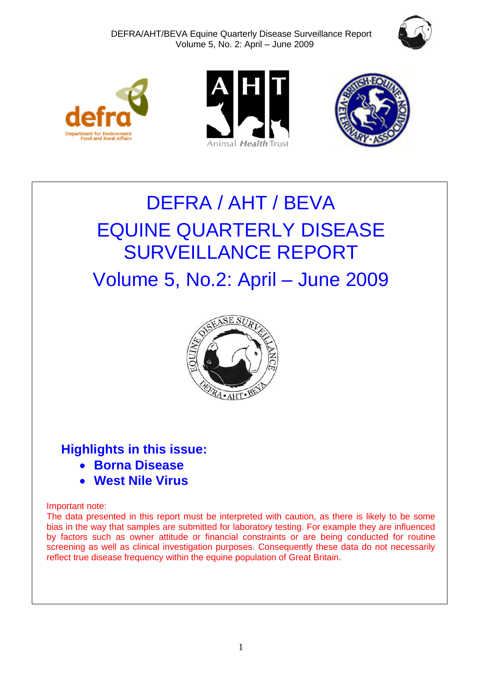







# DEFRA / AHT / BEVA EQUINE QUARTERLY DISEASE SURVEILLANCE REPORT Volume 5, No.2: April – June 2009



# **Highlights in this issue:**

- **Borna Disease**
- **West Nile Virus**

### Important note:

The data presented in this report must be interpreted with caution, as there is likely to be some bias in the way that samples are submitted for laboratory testing. For example they are influenced by factors such as owner attitude or financial constraints or are being conducted for routine screening as well as clinical investigation purposes. Consequently these data do not necessarily reflect true disease frequency within the equine population of Great Britain.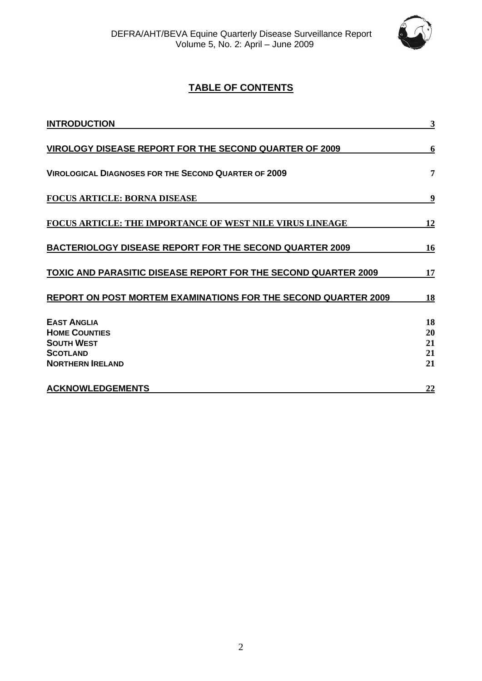

# **TABLE OF CONTENTS**

| <b>INTRODUCTION</b>                                                   | 3        |
|-----------------------------------------------------------------------|----------|
| <b>VIROLOGY DISEASE REPORT FOR THE SECOND QUARTER OF 2009</b>         | 6        |
| <b>VIROLOGICAL DIAGNOSES FOR THE SECOND QUARTER OF 2009</b>           | 7        |
| <b>FOCUS ARTICLE: BORNA DISEASE</b>                                   | 9        |
| <b>FOCUS ARTICLE: THE IMPORTANCE OF WEST NILE VIRUS LINEAGE</b>       | 12       |
| <b>BACTERIOLOGY DISEASE REPORT FOR THE SECOND QUARTER 2009</b>        | 16       |
| <b>TOXIC AND PARASITIC DISEASE REPORT FOR THE SECOND QUARTER 2009</b> | 17       |
| <b>REPORT ON POST MORTEM EXAMINATIONS FOR THE SECOND QUARTER 2009</b> | 18       |
| <b>EAST ANGLIA</b><br><b>HOME COUNTIES</b>                            | 18<br>20 |
| <b>SOUTH WEST</b>                                                     | 21       |
| <b>SCOTLAND</b>                                                       | 21       |
| <b>NORTHERN IRELAND</b>                                               | 21       |
| <b>ACKNOWLEDGEMENTS</b>                                               | 22       |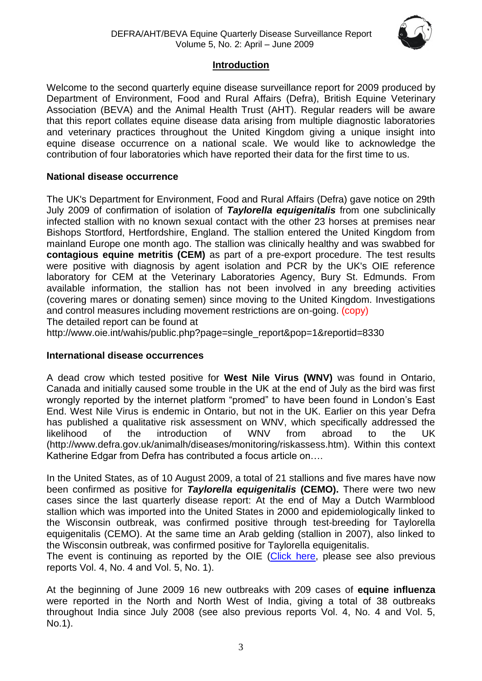

#### **Introduction**

<span id="page-2-0"></span>Welcome to the second quarterly equine disease surveillance report for 2009 produced by Department of Environment, Food and Rural Affairs (Defra), British Equine Veterinary Association (BEVA) and the Animal Health Trust (AHT). Regular readers will be aware that this report collates equine disease data arising from multiple diagnostic laboratories and veterinary practices throughout the United Kingdom giving a unique insight into equine disease occurrence on a national scale. We would like to acknowledge the contribution of four laboratories which have reported their data for the first time to us.

#### **National disease occurrence**

The UK's Department for Environment, Food and Rural Affairs (Defra) gave notice on 29th July 2009 of confirmation of isolation of *Taylorella equigenitalis* from one subclinically infected stallion with no known sexual contact with the other 23 horses at premises near Bishops Stortford, Hertfordshire, England. The stallion entered the United Kingdom from mainland Europe one month ago. The stallion was clinically healthy and was swabbed for **contagious equine metritis (CEM)** as part of a pre-export procedure. The test results were positive with diagnosis by agent isolation and PCR by the UK's OIE reference laboratory for CEM at the Veterinary Laboratories Agency, Bury St. Edmunds. From available information, the stallion has not been involved in any breeding activities (covering mares or donating semen) since moving to the United Kingdom. Investigations and control measures including movement restrictions are on-going. (copy) The detailed report can be found at

[http://www.oie.int/wahis/public.php?page=single\\_report&pop=1&reportid=8330](http://www.oie.int/wahis/public.php?page=single_report&pop=1&reportid=8330)

### **International disease occurrences**

A dead crow which tested positive for **West Nile Virus (WNV)** was found in Ontario, Canada and initially caused some trouble in the UK at the end of July as the bird was first wrongly reported by the internet platform "promed" to have been found in London's East End. West Nile Virus is endemic in Ontario, but not in the UK. Earlier on this year Defra has published a qualitative risk assessment on WNV, which specifically addressed the likelihood of the introduction of WNV from abroad to the UK (http://www.defra.gov.uk/animalh/diseases/monitoring/riskassess.htm). Within this context Katherine Edgar from Defra has contributed a focus article on….

In the United States, as of 10 August 2009, a total of 21 stallions and five mares have now been confirmed as positive for *Taylorella equigenitalis* **(CEMO).** There were two new cases since the last quarterly disease report: At the end of May a Dutch Warmblood stallion which was imported into the United States in 2000 and epidemiologically linked to the Wisconsin outbreak, was confirmed positive through test-breeding for Taylorella equigenitalis (CEMO). At the same time an Arab gelding (stallion in 2007), also linked to the Wisconsin outbreak, was confirmed positive for Taylorella equigenitalis.

The event is continuing as reported by the OIE [\(Click here,](http://www.oie.int/eng/en_index.htm) please see also previous reports Vol. 4, No. 4 and Vol. 5, No. 1).

At the beginning of June 2009 16 new outbreaks with 209 cases of **equine influenza** were reported in the North and North West of India, giving a total of 38 outbreaks throughout India since July 2008 (see also previous reports Vol. 4, No. 4 and Vol. 5, No.1).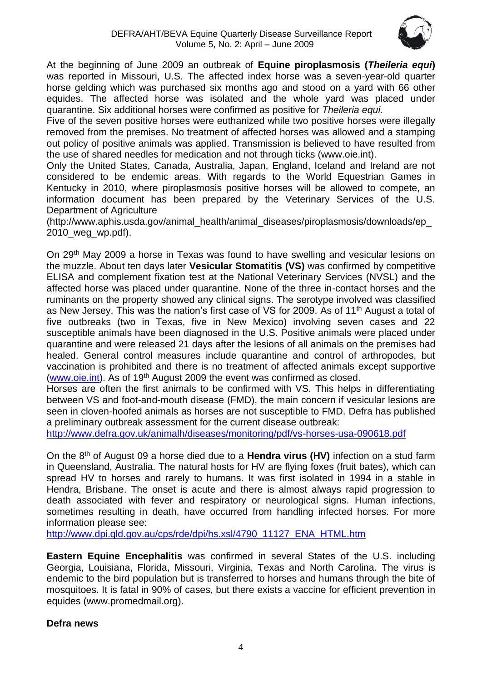

At the beginning of June 2009 an outbreak of **Equine piroplasmosis (***Theileria equi***)** was reported in Missouri, U.S. The affected index horse was a seven-year-old quarter horse gelding which was purchased six months ago and stood on a yard with 66 other equides. The affected horse was isolated and the whole yard was placed under quarantine. Six additional horses were confirmed as positive for *Theileria equi.*

Five of the seven positive horses were euthanized while two positive horses were illegally removed from the premises. No treatment of affected horses was allowed and a stamping out policy of positive animals was applied. Transmission is believed to have resulted from the use of shared needles for medication and not through ticks (www.oie.int).

Only the United States, Canada, Australia, Japan, England, Iceland and Ireland are not considered to be endemic areas. With regards to the World Equestrian Games in Kentucky in 2010, where piroplasmosis positive horses will be allowed to compete, an information document has been prepared by the Veterinary Services of the U.S. Department of Agriculture

(http://www.aphis.usda.gov/animal\_health/animal\_diseases/piroplasmosis/downloads/ep\_ 2010\_weg\_wp.pdf).

On 29<sup>th</sup> May 2009 a horse in Texas was found to have swelling and vesicular lesions on the muzzle. About ten days later **Vesicular Stomatitis (VS)** was confirmed by competitive ELISA and complement fixation test at the National Veterinary Services (NVSL) and the affected horse was placed under quarantine. None of the three in-contact horses and the ruminants on the property showed any clinical signs. The serotype involved was classified as New Jersey. This was the nation's first case of VS for 2009. As of 11<sup>th</sup> August a total of five outbreaks (two in Texas, five in New Mexico) involving seven cases and 22 susceptible animals have been diagnosed in the U.S. Positive animals were placed under quarantine and were released 21 days after the lesions of all animals on the premises had healed. General control measures include quarantine and control of arthropodes, but vaccination is prohibited and there is no treatment of affected animals except supportive [\(www.oie.int\)](http://www.oie.int/). As of  $19<sup>th</sup>$  August 2009 the event was confirmed as closed.

Horses are often the first animals to be confirmed with VS. This helps in differentiating between VS and foot-and-mouth disease (FMD), the main concern if vesicular lesions are seen in cloven-hoofed animals as horses are not susceptible to FMD. Defra has published a preliminary outbreak assessment for the current disease outbreak:

<http://www.defra.gov.uk/animalh/diseases/monitoring/pdf/vs-horses-usa-090618.pdf>

On the 8th of August 09 a horse died due to a **Hendra virus (HV)** infection on a stud farm in Queensland, Australia. The natural hosts for HV are flying foxes (fruit bates), which can spread HV to horses and rarely to humans. It was first isolated in 1994 in a stable in Hendra, Brisbane. The onset is acute and there is almost always rapid progression to death associated with fever and respiratory or neurological signs. Human infections, sometimes resulting in death, have occurred from handling infected horses. For more information please see:

[http://www.dpi.qld.gov.au/cps/rde/dpi/hs.xsl/4790\\_11127\\_ENA\\_HTML.htm](http://www.dpi.qld.gov.au/cps/rde/dpi/hs.xsl/4790_11127_ENA_HTML.htm)

**Eastern Equine Encephalitis** was confirmed in several States of the U.S. including Georgia, Louisiana, Florida, Missouri, Virginia, Texas and North Carolina. The virus is endemic to the bird population but is transferred to horses and humans through the bite of mosquitoes. It is fatal in 90% of cases, but there exists a vaccine for efficient prevention in equides (www.promedmail.org).

#### **Defra news**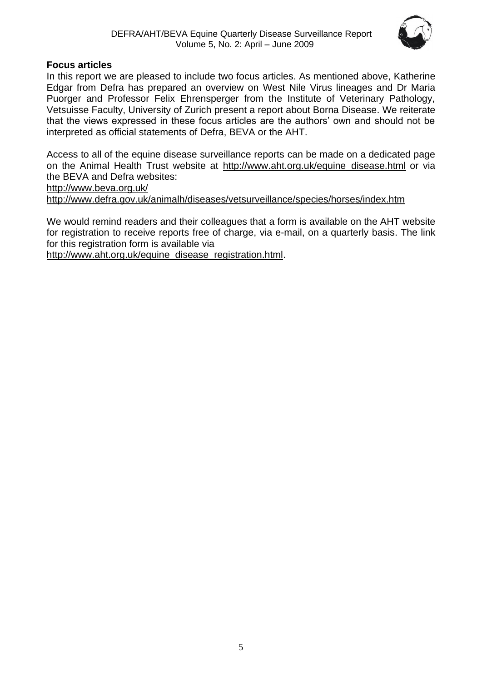

#### **Focus articles**

In this report we are pleased to include two focus articles. As mentioned above, Katherine Edgar from Defra has prepared an overview on West Nile Virus lineages and Dr Maria Puorger and Professor Felix Ehrensperger from the Institute of Veterinary Pathology, Vetsuisse Faculty, University of Zurich present a report about Borna Disease. We reiterate that the views expressed in these focus articles are the authors' own and should not be interpreted as official statements of Defra, BEVA or the AHT.

Access to all of the equine disease surveillance reports can be made on a dedicated page on the Animal Health Trust website at [http://www.aht.org.uk/equine\\_disease.html](http://www.aht.org.uk/equine_disease.html) or via the BEVA and Defra websites:

<http://www.beva.org.uk/>

<http://www.defra.gov.uk/animalh/diseases/vetsurveillance/species/horses/index.htm>

We would remind readers and their colleagues that a form is available on the AHT website for registration to receive reports free of charge, via e-mail, on a quarterly basis. The link for this registration form is available via

[http://www.aht.org.uk/equine\\_disease\\_registration.html.](http://www.aht.org.uk/equine_disease_registration.html)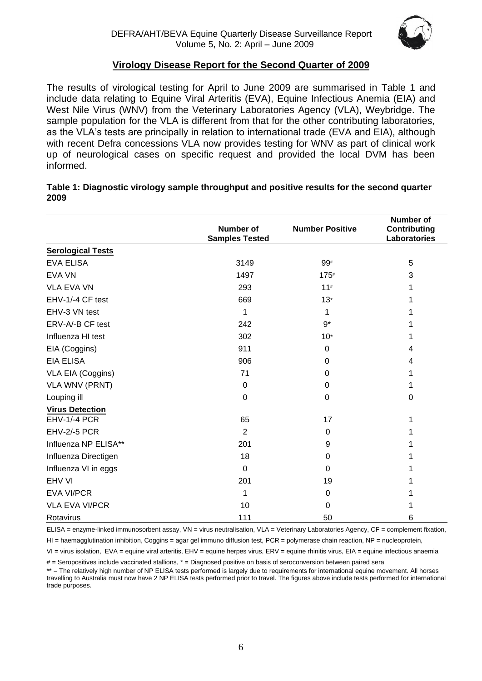

#### **Virology Disease Report for the Second Quarter of 2009**

<span id="page-5-0"></span>The results of virological testing for April to June 2009 are summarised in Table 1 and include data relating to Equine Viral Arteritis (EVA), Equine Infectious Anemia (EIA) and West Nile Virus (WNV) from the Veterinary Laboratories Agency (VLA), Weybridge. The sample population for the VLA is different from that for the other contributing laboratories, as the VLA's tests are principally in relation to international trade (EVA and EIA), although with recent Defra concessions VLA now provides testing for WNV as part of clinical work up of neurological cases on specific request and provided the local DVM has been informed.

|                          | <b>Number of</b><br><b>Samples Tested</b> | <b>Number Positive</b> | <b>Number of</b><br>Contributing<br>Laboratories |
|--------------------------|-------------------------------------------|------------------------|--------------------------------------------------|
| <b>Serological Tests</b> |                                           |                        |                                                  |
| <b>EVA ELISA</b>         | 3149                                      | 99#                    | 5                                                |
| <b>EVA VN</b>            | 1497                                      | $175*$                 | 3                                                |
| <b>VLA EVA VN</b>        | 293                                       | 11#                    | 1                                                |
| EHV-1/-4 CF test         | 669                                       | $13*$                  | 1                                                |
| EHV-3 VN test            | 1                                         | 1                      | 1                                                |
| ERV-A/-B CF test         | 242                                       | 9*                     | 1                                                |
| Influenza HI test        | 302                                       | $10*$                  | 1                                                |
| EIA (Coggins)            | 911                                       | 0                      | 4                                                |
| <b>EIA ELISA</b>         | 906                                       | 0                      | 4                                                |
| VLA EIA (Coggins)        | 71                                        | $\Omega$               | 1                                                |
| <b>VLA WNV (PRNT)</b>    | 0                                         | $\mathbf 0$            | 1                                                |
| Louping ill              | $\Omega$                                  | $\mathbf 0$            | 0                                                |
| <b>Virus Detection</b>   |                                           |                        |                                                  |
| EHV-1/-4 PCR             | 65                                        | 17                     | 1                                                |
| EHV-2/-5 PCR             | $\overline{2}$                            | $\Omega$               | 1                                                |
| Influenza NP ELISA**     | 201                                       | 9                      | 1                                                |
| Influenza Directigen     | 18                                        | $\Omega$               | 1                                                |
| Influenza VI in eggs     | $\Omega$                                  | 0                      | 1                                                |
| <b>EHV VI</b>            | 201                                       | 19                     |                                                  |
| <b>EVA VI/PCR</b>        | 1                                         | $\mathbf 0$            |                                                  |
| <b>VLA EVA VI/PCR</b>    | 10                                        | 0                      |                                                  |
| Rotavirus                | 111                                       | 50                     | 6                                                |

#### **Table 1: Diagnostic virology sample throughput and positive results for the second quarter 2009**

ELISA = enzyme-linked immunosorbent assay, VN = virus neutralisation, VLA = Veterinary Laboratories Agency, CF = complement fixation,

HI = haemagglutination inhibition, Coggins = agar gel immuno diffusion test, PCR = polymerase chain reaction, NP = nucleoprotein,

VI = virus isolation, EVA = equine viral arteritis, EHV = equine herpes virus, ERV = equine rhinitis virus, EIA = equine infectious anaemia

# = Seropositives include vaccinated stallions, \* = Diagnosed positive on basis of seroconversion between paired sera

\*\* = The relatively high number of NP ELISA tests performed is largely due to requirements for international equine movement. All horses travelling to Australia must now have 2 NP ELISA tests performed prior to travel. The figures above include tests performed for international trade purposes.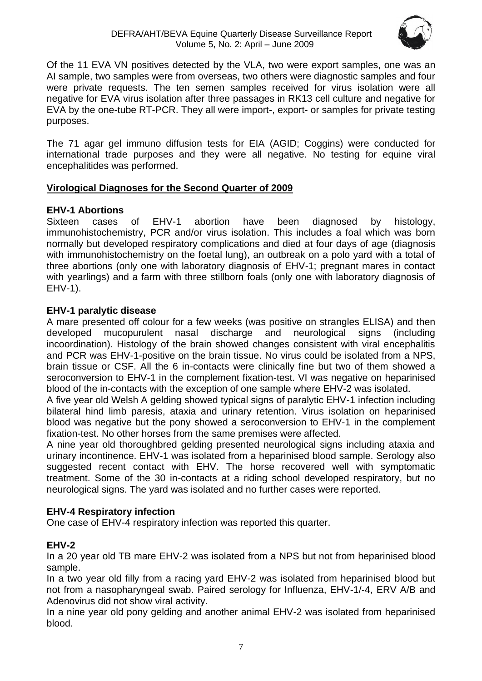

Of the 11 EVA VN positives detected by the VLA, two were export samples, one was an AI sample, two samples were from overseas, two others were diagnostic samples and four were private requests. The ten semen samples received for virus isolation were all negative for EVA virus isolation after three passages in RK13 cell culture and negative for EVA by the one-tube RT-PCR. They all were import-, export- or samples for private testing purposes.

The 71 agar gel immuno diffusion tests for EIA (AGID; Coggins) were conducted for international trade purposes and they were all negative. No testing for equine viral encephalitides was performed.

### <span id="page-6-0"></span>**Virological Diagnoses for the Second Quarter of 2009**

### **EHV-1 Abortions**

Sixteen cases of EHV-1 abortion have been diagnosed by histology, immunohistochemistry, PCR and/or virus isolation. This includes a foal which was born normally but developed respiratory complications and died at four days of age (diagnosis with immunohistochemistry on the foetal lung), an outbreak on a polo yard with a total of three abortions (only one with laboratory diagnosis of EHV-1; pregnant mares in contact with yearlings) and a farm with three stillborn foals (only one with laboratory diagnosis of EHV-1).

## **EHV-1 paralytic disease**

A mare presented off colour for a few weeks (was positive on strangles ELISA) and then developed mucopurulent nasal discharge and neurological signs (including incoordination). Histology of the brain showed changes consistent with viral encephalitis and PCR was EHV-1-positive on the brain tissue. No virus could be isolated from a NPS, brain tissue or CSF. All the 6 in-contacts were clinically fine but two of them showed a seroconversion to EHV-1 in the complement fixation-test. VI was negative on heparinised blood of the in-contacts with the exception of one sample where EHV-2 was isolated.

A five year old Welsh A gelding showed typical signs of paralytic EHV-1 infection including bilateral hind limb paresis, ataxia and urinary retention. Virus isolation on heparinised blood was negative but the pony showed a seroconversion to EHV-1 in the complement fixation-test. No other horses from the same premises were affected.

A nine year old thoroughbred gelding presented neurological signs including ataxia and urinary incontinence. EHV-1 was isolated from a heparinised blood sample. Serology also suggested recent contact with EHV. The horse recovered well with symptomatic treatment. Some of the 30 in-contacts at a riding school developed respiratory, but no neurological signs. The yard was isolated and no further cases were reported.

### **EHV-4 Respiratory infection**

One case of EHV-4 respiratory infection was reported this quarter.

# **EHV-2**

In a 20 year old TB mare EHV-2 was isolated from a NPS but not from heparinised blood sample.

In a two year old filly from a racing yard EHV-2 was isolated from heparinised blood but not from a nasopharyngeal swab. Paired serology for Influenza, EHV-1/-4, ERV A/B and Adenovirus did not show viral activity.

In a nine year old pony gelding and another animal EHV-2 was isolated from heparinised blood.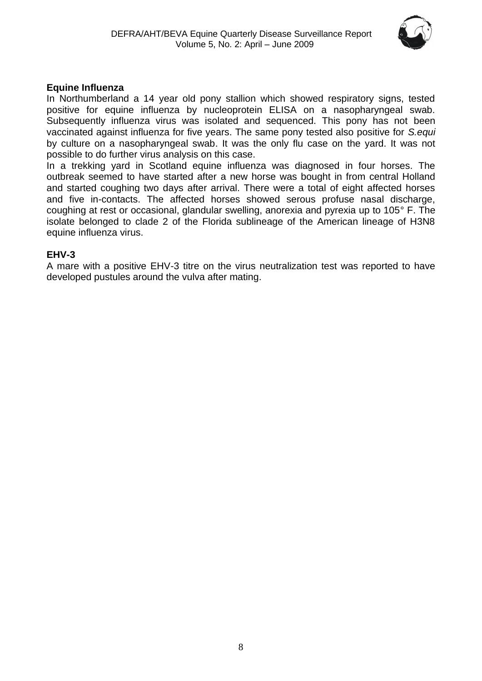

#### **Equine Influenza**

In Northumberland a 14 year old pony stallion which showed respiratory signs, tested positive for equine influenza by nucleoprotein ELISA on a nasopharyngeal swab. Subsequently influenza virus was isolated and sequenced. This pony has not been vaccinated against influenza for five years. The same pony tested also positive for *S.equi* by culture on a nasopharyngeal swab. It was the only flu case on the yard. It was not possible to do further virus analysis on this case.

In a trekking yard in Scotland equine influenza was diagnosed in four horses. The outbreak seemed to have started after a new horse was bought in from central Holland and started coughing two days after arrival. There were a total of eight affected horses and five in-contacts. The affected horses showed serous profuse nasal discharge, coughing at rest or occasional, glandular swelling, anorexia and pyrexia up to 105° F. The isolate belonged to clade 2 of the Florida sublineage of the American lineage of H3N8 equine influenza virus.

#### **EHV-3**

A mare with a positive EHV-3 titre on the virus neutralization test was reported to have developed pustules around the vulva after mating.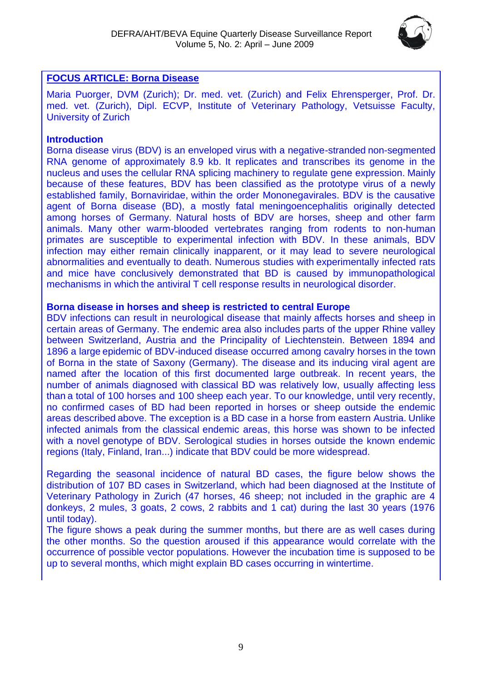

#### <span id="page-8-0"></span>**FOCUS ARTICLE: Borna Disease**

Maria Puorger, DVM (Zurich); Dr. med. vet. (Zurich) and Felix Ehrensperger, Prof. Dr. med. vet. (Zurich), Dipl. ECVP, Institute of Veterinary Pathology, Vetsuisse Faculty, University of Zurich

#### **Introduction**

Borna disease virus (BDV) is an enveloped virus with a negative-stranded non-segmented RNA genome of approximately 8.9 kb. It replicates and transcribes its genome in the nucleus and uses the cellular RNA splicing machinery to regulate gene expression. Mainly because of these features, BDV has been classified as the prototype virus of a newly established family, Bornaviridae, within the order Mononegavirales. BDV is the causative agent of Borna disease (BD), a mostly fatal meningoencephalitis originally detected among horses of Germany. Natural hosts of BDV are horses, sheep and other farm animals. Many other warm-blooded vertebrates ranging from rodents to non-human primates are susceptible to experimental infection with BDV. In these animals, BDV infection may either remain clinically inapparent, or it may lead to severe neurological abnormalities and eventually to death. Numerous studies with experimentally infected rats and mice have conclusively demonstrated that BD is caused by immunopathological mechanisms in which the antiviral T cell response results in neurological disorder.

#### **Borna disease in horses and sheep is restricted to central Europe**

BDV infections can result in neurological disease that mainly affects horses and sheep in certain areas of Germany. The endemic area also includes parts of the upper Rhine valley between Switzerland, Austria and the Principality of Liechtenstein. Between 1894 and 1896 a large epidemic of BDV-induced disease occurred among cavalry horses in the town of Borna in the state of Saxony (Germany). The disease and its inducing viral agent are named after the location of this first documented large outbreak. In recent years, the number of animals diagnosed with classical BD was relatively low, usually affecting less than a total of 100 horses and 100 sheep each year. To our knowledge, until very recently, no confirmed cases of BD had been reported in horses or sheep outside the endemic areas described above. The exception is a BD case in a horse from eastern Austria. Unlike infected animals from the classical endemic areas, this horse was shown to be infected with a novel genotype of BDV. Serological studies in horses outside the known endemic regions (Italy, Finland, Iran...) indicate that BDV could be more widespread.

Regarding the seasonal incidence of natural BD cases, the figure below shows the distribution of 107 BD cases in Switzerland, which had been diagnosed at the Institute of Veterinary Pathology in Zurich (47 horses, 46 sheep; not included in the graphic are 4 donkeys, 2 mules, 3 goats, 2 cows, 2 rabbits and 1 cat) during the last 30 years (1976 until today).

The figure shows a peak during the summer months, but there are as well cases during the other months. So the question aroused if this appearance would correlate with the occurrence of possible vector populations. However the incubation time is supposed to be up to several months, which might explain BD cases occurring in wintertime.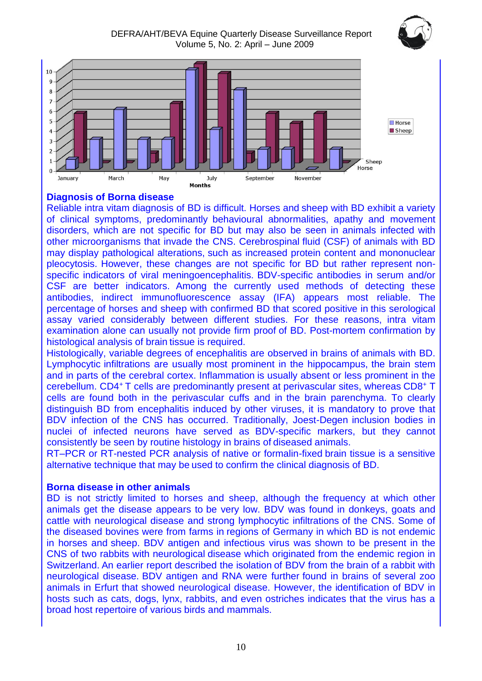DEFRA/AHT/BEVA Equine Quarterly Disease Surveillance Report Volume 5, No. 2: April – June 2009





#### **Diagnosis of Borna disease**

Reliable intra vitam diagnosis of BD is difficult. Horses and sheep with BD exhibit a variety of clinical symptoms, predominantly behavioural abnormalities, apathy and movement disorders, which are not specific for BD but may also be seen in animals infected with other microorganisms that invade the CNS. Cerebrospinal fluid (CSF) of animals with BD may display pathological alterations, such as increased protein content and mononuclear pleocytosis. However, these changes are not specific for BD but rather represent nonspecific indicators of viral meningoencephalitis. BDV-specific antibodies in serum and/or CSF are better indicators. Among the currently used methods of detecting these antibodies, indirect immunofluorescence assay (IFA) appears most reliable. The percentage of horses and sheep with confirmed BD that scored positive in this serological assay varied considerably between different studies. For these reasons, intra vitam examination alone can usually not provide firm proof of BD. Post-mortem confirmation by histological analysis of brain tissue is required.

Histologically, variable degrees of encephalitis are observed in brains of animals with BD. Lymphocytic infiltrations are usually most prominent in the hippocampus, the brain stem and in parts of the cerebral cortex. Inflammation is usually absent or less prominent in the cerebellum. CD4<sup>+</sup>T cells are predominantly present at perivascular sites, whereas CD8<sup>+</sup> T cells are found both in the perivascular cuffs and in the brain parenchyma. To clearly distinguish BD from encephalitis induced by other viruses, it is mandatory to prove that BDV infection of the CNS has occurred. Traditionally, Joest-Degen inclusion bodies in nuclei of infected neurons have served as BDV-specific markers, but they cannot consistently be seen by routine histology in brains of diseased animals.

RT–PCR or RT-nested PCR analysis of native or formalin-fixed brain tissue is a sensitive alternative technique that may be used to confirm the clinical diagnosis of BD.

#### **Borna disease in other animals**

BD is not strictly limited to horses and sheep, although the frequency at which other animals get the disease appears to be very low. BDV was found in donkeys, goats and cattle with neurological disease and strong lymphocytic infiltrations of the CNS. Some of the diseased bovines were from farms in regions of Germany in which BD is not endemic in horses and sheep. BDV antigen and infectious virus was shown to be present in the CNS of two rabbits with neurological disease which originated from the endemic region in Switzerland. An earlier report described the isolation of BDV from the brain of a rabbit with neurological disease. BDV antigen and RNA were further found in brains of several zoo animals in Erfurt that showed neurological disease. However, the identification of BDV in hosts such as cats, dogs, lynx, rabbits, and even ostriches indicates that the virus has a broad host repertoire of various birds and mammals.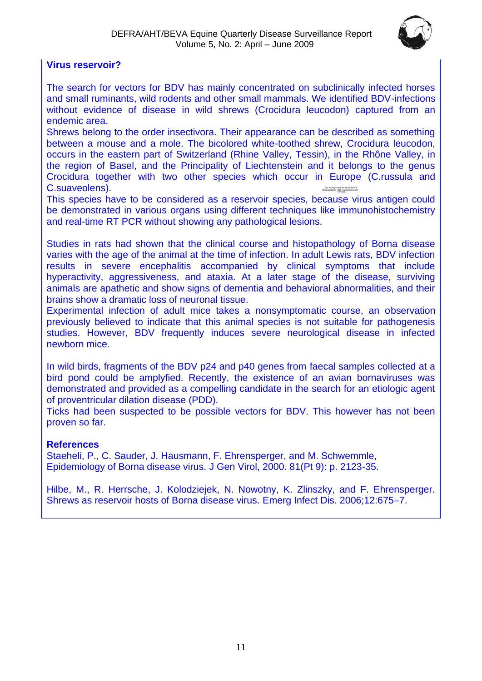

#### **Virus reservoir?**

The search for vectors for BDV has mainly concentrated on subclinically infected horses and small ruminants, wild rodents and other small mammals. We identified BDV-infections without evidence of disease in wild shrews (Crocidura leucodon) captured from an endemic area.

Shrews belong to the order insectivora. Their appearance can be described as something between a mouse and a mole. The bicolored white-toothed shrew, Crocidura leucodon, occurs in the eastern part of Switzerland (Rhine Valley, Tessin), in the Rhône Valley, in the region of Basel, and the Principality of Liechtenstein and it belongs to the genus Crocidura together with two other species which occur in Europe (C.russula and C.suaveolens).

This species have to be considered as a reservoir species, because virus antigen could be demonstrated in various organs using different techniques like immunohistochemistry and real-time RT PCR without showing any pathological lesions.

Exervoir species, because viident ifferent techniques like imminimathological lesions.<br>
course and histopathology of infection. In adult Lewis ranied by clinical symptom<br>
At a later stage of the c<br>
analymptomatic and beha Studies in rats had shown that the clinical course and histopathology of Borna disease varies with the age of the animal at the time of infection. In adult Lewis rats, BDV infection results in severe encephalitis accompanied by clinical symptoms that include hyperactivity, aggressiveness, and ataxia. At a later stage of the disease, surviving animals are apathetic and show signs of dementia and behavioral abnormalities, and their brains show a dramatic loss of neuronal tissue.

Experimental infection of adult mice takes a nonsymptomatic course, an observation previously believed to indicate that this animal species is not suitable for pathogenesis studies. However, BDV frequently induces severe neurological disease in infected newborn mice.

In wild birds, fragments of the BDV p24 and p40 genes from faecal samples collected at a bird pond could be amplyfied. Recently, the existence of an avian bornaviruses was demonstrated and provided as a compelling candidate in the search for an etiologic agent of proventricular dilation disease (PDD).

Ticks had been suspected to be possible vectors for BDV. This however has not been proven so far.

#### **References**

Staeheli, P., C. Sauder, J. Hausmann, F. Ehrensperger, and M. Schwemmle, Epidemiology of Borna disease virus. J Gen Virol, 2000. 81(Pt 9): p. 2123-35.

Hilbe, M., R. Herrsche, J. Kolodziejek, N. Nowotny, K. Zlinszky, and F. Ehrensperger. Shrews as reservoir hosts of Borna disease virus. Emerg Infect Dis. 2006;12:675–7.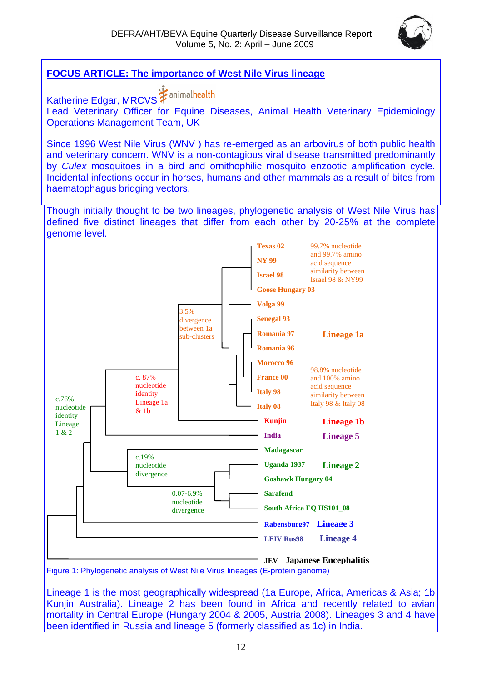<span id="page-11-0"></span>**FOCUS ARTICLE: The importance of West Nile Virus lineage**

animalhealth





Figure 1: Phylogenetic analysis of West Nile Virus lineages (E-protein genome)

Lineage 1 is the most geographically widespread (1a Europe, Africa, Americas & Asia; 1b Kunjin Australia). Lineage 2 has been found in Africa and recently related to avian mortality in Central Europe (Hungary 2004 & 2005, Austria 2008). Lineages 3 and 4 have been identified in Russia and lineage 5 (formerly classified as 1c) in India.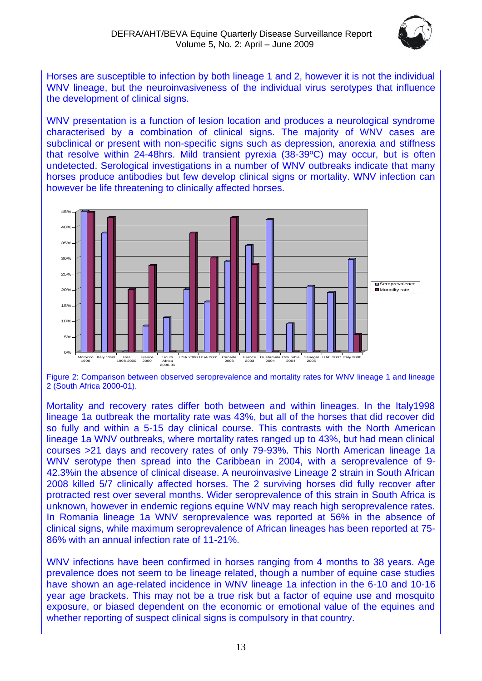

Horses are susceptible to infection by both lineage 1 and 2, however it is not the individual WNV lineage, but the neuroinvasiveness of the individual virus serotypes that influence the development of clinical signs.

WNV presentation is a function of lesion location and produces a neurological syndrome characterised by a combination of clinical signs. The majority of WNV cases are subclinical or present with non-specific signs such as depression, anorexia and stiffness that resolve within 24-48hrs. Mild transient pyrexia  $(38-39^{\circ}C)$  may occur, but is often undetected. Serological investigations in a number of WNV outbreaks indicate that many horses produce antibodies but few develop clinical signs or mortality. WNV infection can however be life threatening to clinically affected horses.



Figure 2: Comparison between observed seroprevalence and mortality rates for WNV lineage 1 and lineage 2 (South Africa 2000-01).

Mortality and recovery rates differ both between and within lineages. In the Italy1998 lineage 1a outbreak the mortality rate was 43%, but all of the horses that did recover did so fully and within a 5-15 day clinical course. This contrasts with the North American lineage 1a WNV outbreaks, where mortality rates ranged up to 43%, but had mean clinical courses >21 days and recovery rates of only 79-93%. This North American lineage 1a WNV serotype then spread into the Caribbean in 2004, with a seroprevalence of 9- 42.3%in the absence of clinical disease. A neuroinvasive Lineage 2 strain in South African 2008 killed 5/7 clinically affected horses. The 2 surviving horses did fully recover after protracted rest over several months. Wider seroprevalence of this strain in South Africa is unknown, however in endemic regions equine WNV may reach high seroprevalence rates. In Romania lineage 1a WNV seroprevalence was reported at 56% in the absence of clinical signs, while maximum seroprevalence of African lineages has been reported at 75- 86% with an annual infection rate of 11-21%.

WNV infections have been confirmed in horses ranging from 4 months to 38 years. Age prevalence does not seem to be lineage related, though a number of equine case studies have shown an age-related incidence in WNV lineage 1a infection in the 6-10 and 10-16 year age brackets. This may not be a true risk but a factor of equine use and mosquito exposure, or biased dependent on the economic or emotional value of the equines and whether reporting of suspect clinical signs is compulsory in that country.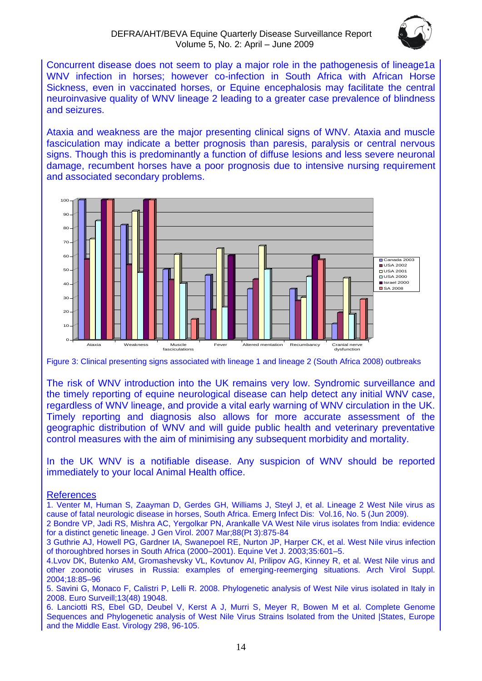

Concurrent disease does not seem to play a major role in the pathogenesis of lineage1a WNV infection in horses; however co-infection in South Africa with African Horse Sickness, even in vaccinated horses, or Equine encephalosis may facilitate the central neuroinvasive quality of WNV lineage 2 leading to a greater case prevalence of blindness and seizures.

Ataxia and weakness are the major presenting clinical signs of WNV. Ataxia and muscle fasciculation may indicate a better prognosis than paresis, paralysis or central nervous signs. Though this is predominantly a function of diffuse lesions and less severe neuronal damage, recumbent horses have a poor prognosis due to intensive nursing requirement and associated secondary problems.



Figure 3: Clinical presenting signs associated with lineage 1 and lineage 2 (South Africa 2008) outbreaks

The risk of WNV introduction into the UK remains very low. Syndromic surveillance and the timely reporting of equine neurological disease can help detect any initial WNV case, regardless of WNV lineage, and provide a vital early warning of WNV circulation in the UK. Timely reporting and diagnosis also allows for more accurate assessment of the geographic distribution of WNV and will guide public health and veterinary preventative control measures with the aim of minimising any subsequent morbidity and mortality.

In the UK WNV is a notifiable disease. Any suspicion of WNV should be reported immediately to your local Animal Health office.

#### **References**

1. Venter M, Human S, Zaayman D, Gerdes GH, Williams J, Steyl J, et al. Lineage 2 West Nile virus as cause of fatal neurologic disease in horses, South Africa. Emerg Infect Dis: Vol.16, No. 5 (Jun 2009).

2 Bondre VP, Jadi RS, Mishra AC, Yergolkar PN, Arankalle VA West Nile virus isolates from India: evidence for a distinct genetic lineage. J Gen Virol. 2007 Mar;88(Pt 3):875-84

3 Guthrie AJ, Howell PG, Gardner IA, Swanepoel RE, Nurton JP, Harper CK, et al. West Nile virus infection of thoroughbred horses in South Africa (2000–2001). Equine Vet J. 2003;35:601–5.

4.Lvov DK, Butenko AM, Gromashevsky VL, Kovtunov AI, Prilipov AG, Kinney R, et al. West Nile virus and other zoonotic viruses in Russia: examples of emerging-reemerging situations. Arch Virol Suppl. 2004;18:85–96

5. Savini G, Monaco F, Calistri P, Lelli R. 2008. Phylogenetic analysis of West Nile virus isolated in Italy in 2008. Euro Surveill;13(48) 19048.

6. Lanciotti RS, Ebel GD, Deubel V, Kerst A J, Murri S, Meyer R, Bowen M et al. Complete Genome Sequences and Phylogenetic analysis of West Nile Virus Strains Isolated from the United States, Europe and the Middle East. Virology 298, 96-105.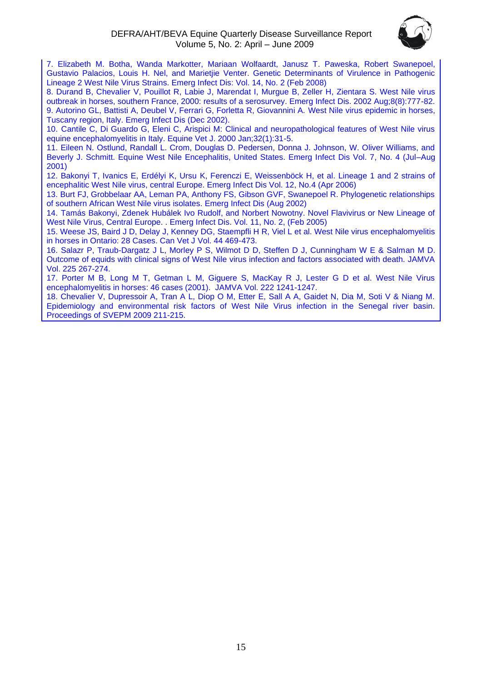

7. Elizabeth M. Botha, Wanda Markotter, Mariaan Wolfaardt, Janusz T. Paweska, Robert Swanepoel, Gustavio Palacios, Louis H. Nel, and Marietjie Venter. Genetic Determinants of Virulence in Pathogenic Lineage 2 West Nile Virus Strains. Emerg Infect Dis: Vol. 14, No. 2 (Feb 2008)

8. Durand B, Chevalier V, Pouillot R, Labie J, Marendat I, Murgue B, Zeller H, Zientara S. West Nile virus outbreak in horses, southern France, 2000: results of a serosurvey. Emerg Infect Dis. 2002 Aug;8(8):777-82. 9. Autorino GL, Battisti A, Deubel V, Ferrari G, Forletta R, Giovannini A. West Nile virus epidemic in horses, Tuscany region, Italy. Emerg Infect Dis (Dec 2002).

10. Cantile C, Di Guardo G, Eleni C, Arispici M: Clinical and neuropathological features of West Nile virus equine encephalomyelitis in Italy. Equine Vet J. 2000 Jan;32(1):31-5.

11. Eileen N. Ostlund, Randall L. Crom, Douglas D. Pedersen, Donna J. Johnson, W. Oliver Williams, and Beverly J. Schmitt. Equine West Nile Encephalitis, United States. Emerg Infect Dis Vol. 7, No. 4 (Jul–Aug 2001)

12. Bakonyi T, Ivanics E, Erdélyi K, Ursu K, Ferenczi E, Weissenböck H, et al. Lineage 1 and 2 strains of encephalitic West Nile virus, central Europe. Emerg Infect Dis Vol. 12, No.4 (Apr 2006)

13. Burt FJ, Grobbelaar AA, Leman PA, Anthony FS, Gibson GVF, Swanepoel R. Phylogenetic relationships of southern African West Nile virus isolates. Emerg Infect Dis (Aug 2002)

14. Tamás Bakonyi, Zdenek Hubálek Ivo Rudolf, and Norbert Nowotny. Novel Flavivirus or New Lineage of West Nile Virus, Central Europe. . Emerg Infect Dis. Vol. 11, No. 2, (Feb 2005)

15. Weese JS, Baird J D, Delay J, Kenney DG, Staempfli H R, Viel L et al. West Nile virus encephalomyelitis in horses in Ontario: 28 Cases. Can Vet J Vol. 44 469-473.

16. Salazr P, Traub-Dargatz J L, Morley P S, Wilmot D D, Steffen D J, Cunningham W E & Salman M D. Outcome of equids with clinical signs of West Nile virus infection and factors associated with death. JAMVA Vol. 225 267-274.

17. Porter M B, Long M T, Getman L M, Giguere S, MacKay R J, Lester G D et al. West Nile Virus encephalomyelitis in horses: 46 cases (2001). JAMVA Vol. 222 1241-1247.

18. Chevalier V, Dupressoir A, Tran A L, Diop O M, Etter E, Sall A A, Gaidet N, Dia M, Soti V & Niang M. Epidemiology and environmental risk factors of West Nile Virus infection in the Senegal river basin. Proceedings of SVEPM 2009 211-215.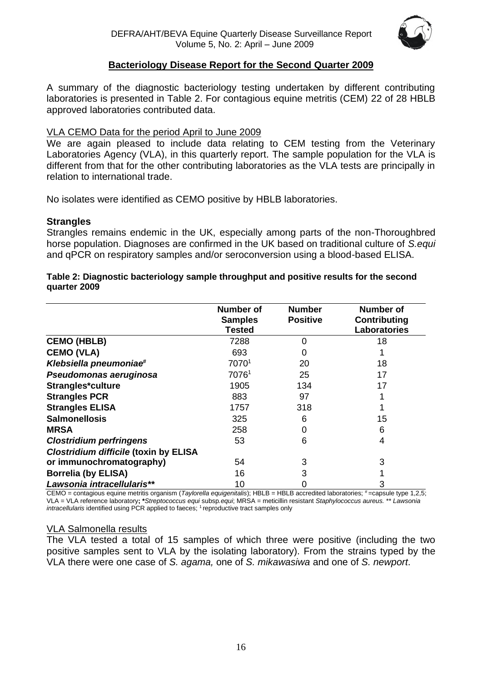

#### **Bacteriology Disease Report for the Second Quarter 2009**

<span id="page-15-0"></span>A summary of the diagnostic bacteriology testing undertaken by different contributing laboratories is presented in Table 2. For contagious equine metritis (CEM) 22 of 28 HBLB approved laboratories contributed data.

#### VLA CEMO Data for the period April to June 2009

We are again pleased to include data relating to CEM testing from the Veterinary Laboratories Agency (VLA), in this quarterly report. The sample population for the VLA is different from that for the other contributing laboratories as the VLA tests are principally in relation to international trade.

No isolates were identified as CEMO positive by HBLB laboratories.

#### **Strangles**

Strangles remains endemic in the UK, especially among parts of the non-Thoroughbred horse population. Diagnoses are confirmed in the UK based on traditional culture of *S.equi* and qPCR on respiratory samples and/or seroconversion using a blood-based ELISA.

#### **Table 2: Diagnostic bacteriology sample throughput and positive results for the second quarter 2009**

|                                              | <b>Number of</b><br><b>Samples</b><br><b>Tested</b> | <b>Number</b><br><b>Positive</b> | <b>Number of</b><br>Contributing<br><b>Laboratories</b> |
|----------------------------------------------|-----------------------------------------------------|----------------------------------|---------------------------------------------------------|
| <b>CEMO (HBLB)</b>                           | 7288                                                | 0                                | 18                                                      |
| <b>CEMO (VLA)</b>                            | 693                                                 | 0                                |                                                         |
| Klebsiella pneumoniae#                       | 70701                                               | 20                               | 18                                                      |
| Pseudomonas aeruginosa                       | 70761                                               | 25                               | 17                                                      |
| Strangles*culture                            | 1905                                                | 134                              | 17                                                      |
| <b>Strangles PCR</b>                         | 883                                                 | 97                               |                                                         |
| <b>Strangles ELISA</b>                       | 1757                                                | 318                              |                                                         |
| <b>Salmonellosis</b>                         | 325                                                 | 6                                | 15                                                      |
| <b>MRSA</b>                                  | 258                                                 | 0                                | 6                                                       |
| <b>Clostridium perfringens</b>               | 53                                                  | 6                                | 4                                                       |
| <b>Clostridium difficile (toxin by ELISA</b> |                                                     |                                  |                                                         |
| or immunochromatography)                     | 54                                                  | 3                                | 3                                                       |
| <b>Borrelia (by ELISA)</b>                   | 16                                                  | 3                                |                                                         |
| Lawsonia intracellularis**                   | 10                                                  |                                  |                                                         |

CEMO = contagious equine metritis organism (Taylorella equigenitalis); HBLB = HBLB accredited laboratories; # = capsule type 1,2,5; VLA = VLA reference laboratory**; \****Streptococcus equi* subsp*.equi*; MRSA = meticillin resistant *Staphylococcus aureus.* \*\* *Lawsonia intracellularis* identified using PCR applied to faeces; <sup>1</sup> reproductive tract samples only

#### VLA Salmonella results

The VLA tested a total of 15 samples of which three were positive (including the two positive samples sent to VLA by the isolating laboratory). From the strains typed by the VLA there were one case of *S. agama,* one of *S. mikawasiwa* and one of *S. newport*.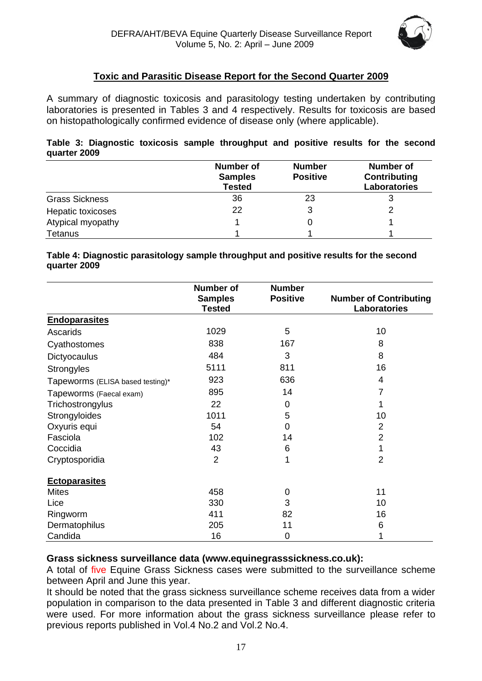

#### **Toxic and Parasitic Disease Report for the Second Quarter 2009**

<span id="page-16-0"></span>A summary of diagnostic toxicosis and parasitology testing undertaken by contributing laboratories is presented in Tables 3 and 4 respectively. Results for toxicosis are based on histopathologically confirmed evidence of disease only (where applicable).

|              |  |  | Table 3: Diagnostic toxicosis sample throughput and positive results for the second |  |  |  |
|--------------|--|--|-------------------------------------------------------------------------------------|--|--|--|
| quarter 2009 |  |  |                                                                                     |  |  |  |

|                       | <b>Number of</b><br><b>Samples</b><br><b>Tested</b> | <b>Number</b><br><b>Positive</b> | <b>Number of</b><br>Contributing<br>Laboratories |
|-----------------------|-----------------------------------------------------|----------------------------------|--------------------------------------------------|
| <b>Grass Sickness</b> | 36                                                  | 23                               | 3                                                |
| Hepatic toxicoses     | 22                                                  |                                  |                                                  |
| Atypical myopathy     |                                                     |                                  |                                                  |
| <b>Tetanus</b>        |                                                     |                                  |                                                  |

**Table 4: Diagnostic parasitology sample throughput and positive results for the second quarter 2009**

|                                  | Number of<br><b>Samples</b> | <b>Number</b><br><b>Positive</b> | <b>Number of Contributing</b> |
|----------------------------------|-----------------------------|----------------------------------|-------------------------------|
|                                  | <b>Tested</b>               |                                  | Laboratories                  |
| <b>Endoparasites</b>             |                             |                                  |                               |
| Ascarids                         | 1029                        | 5                                | 10                            |
| Cyathostomes                     | 838                         | 167                              | 8                             |
| Dictyocaulus                     | 484                         | 3                                | 8                             |
| <b>Strongyles</b>                | 5111                        | 811                              | 16                            |
| Tapeworms (ELISA based testing)* | 923                         | 636                              | 4                             |
| Tapeworms (Faecal exam)          | 895                         | 14                               | 7                             |
| Trichostrongylus                 | 22                          | 0                                |                               |
| Strongyloides                    | 1011                        | 5                                | 10                            |
| Oxyuris equi                     | 54                          | $\mathbf 0$                      | 2                             |
| Fasciola                         | 102                         | 14                               | $\overline{2}$                |
| Coccidia                         | 43                          | 6                                | 1                             |
| Cryptosporidia                   | $\overline{2}$              | 1                                | $\overline{2}$                |
| <b>Ectoparasites</b>             |                             |                                  |                               |
| <b>Mites</b>                     | 458                         | 0                                | 11                            |
| Lice                             | 330                         | 3                                | 10                            |
| Ringworm                         | 411                         | 82                               | 16                            |
| Dermatophilus                    | 205                         | 11                               | 6                             |
| Candida                          | 16                          | $\mathbf 0$                      |                               |

#### **Grass sickness surveillance data (www.equinegrasssickness.co.uk):**

A total of five Equine Grass Sickness cases were submitted to the surveillance scheme between April and June this year.

It should be noted that the grass sickness surveillance scheme receives data from a wider population in comparison to the data presented in Table 3 and different diagnostic criteria were used. For more information about the grass sickness surveillance please refer to previous reports published in Vol.4 No.2 and Vol.2 No.4.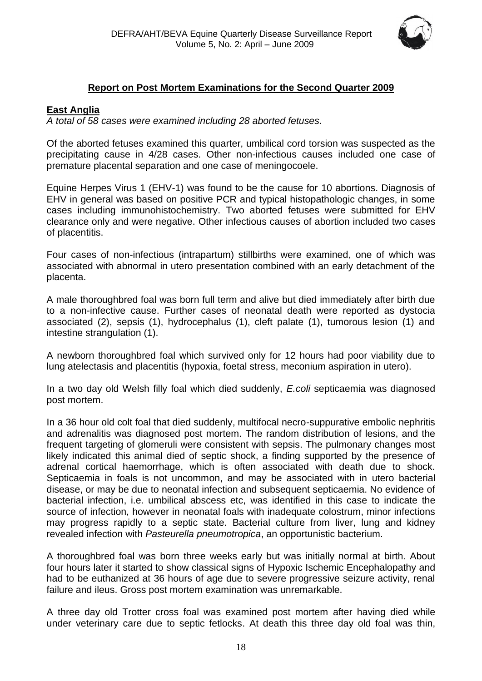

#### **Report on Post Mortem Examinations for the Second Quarter 2009**

#### <span id="page-17-1"></span><span id="page-17-0"></span>**East Anglia**

*A total of 58 cases were examined including 28 aborted fetuses.*

Of the aborted fetuses examined this quarter, umbilical cord torsion was suspected as the precipitating cause in 4/28 cases. Other non-infectious causes included one case of premature placental separation and one case of meningocoele.

Equine Herpes Virus 1 (EHV-1) was found to be the cause for 10 abortions. Diagnosis of EHV in general was based on positive PCR and typical histopathologic changes, in some cases including immunohistochemistry. Two aborted fetuses were submitted for EHV clearance only and were negative. Other infectious causes of abortion included two cases of placentitis.

Four cases of non-infectious (intrapartum) stillbirths were examined, one of which was associated with abnormal in utero presentation combined with an early detachment of the placenta.

A male thoroughbred foal was born full term and alive but died immediately after birth due to a non-infective cause. Further cases of neonatal death were reported as dystocia associated (2), sepsis (1), hydrocephalus (1), cleft palate (1), tumorous lesion (1) and intestine strangulation (1).

A newborn thoroughbred foal which survived only for 12 hours had poor viability due to lung atelectasis and placentitis (hypoxia, foetal stress, meconium aspiration in utero).

In a two day old Welsh filly foal which died suddenly, *E.coli* septicaemia was diagnosed post mortem.

In a 36 hour old colt foal that died suddenly, multifocal necro-suppurative embolic nephritis and adrenalitis was diagnosed post mortem. The random distribution of lesions, and the frequent targeting of glomeruli were consistent with sepsis. The pulmonary changes most likely indicated this animal died of septic shock, a finding supported by the presence of adrenal cortical haemorrhage, which is often associated with death due to shock. Septicaemia in foals is not uncommon, and may be associated with in utero bacterial disease, or may be due to neonatal infection and subsequent septicaemia. No evidence of bacterial infection, i.e. umbilical abscess etc, was identified in this case to indicate the source of infection, however in neonatal foals with inadequate colostrum, minor infections may progress rapidly to a septic state. Bacterial culture from liver, lung and kidney revealed infection with *Pasteurella pneumotropica*, an opportunistic bacterium.

A thoroughbred foal was born three weeks early but was initially normal at birth. About four hours later it started to show classical signs of Hypoxic Ischemic Encephalopathy and had to be euthanized at 36 hours of age due to severe progressive seizure activity, renal failure and ileus. Gross post mortem examination was unremarkable.

A three day old Trotter cross foal was examined post mortem after having died while under veterinary care due to septic fetlocks. At death this three day old foal was thin,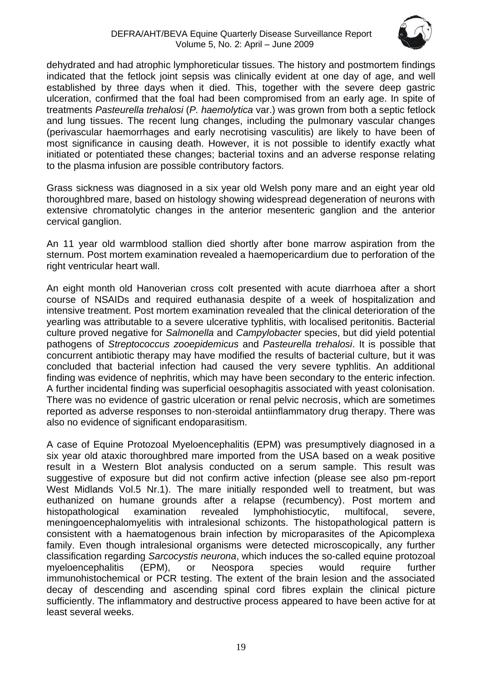

dehydrated and had atrophic lymphoreticular tissues. The history and postmortem findings indicated that the fetlock joint sepsis was clinically evident at one day of age, and well established by three days when it died. This, together with the severe deep gastric ulceration, confirmed that the foal had been compromised from an early age. In spite of treatments *Pasteurella trehalosi* (*P. haemolytica* var.) was grown from both a septic fetlock and lung tissues. The recent lung changes, including the pulmonary vascular changes (perivascular haemorrhages and early necrotising vasculitis) are likely to have been of most significance in causing death. However, it is not possible to identify exactly what initiated or potentiated these changes; bacterial toxins and an adverse response relating to the plasma infusion are possible contributory factors.

Grass sickness was diagnosed in a six year old Welsh pony mare and an eight year old thoroughbred mare, based on histology showing widespread degeneration of neurons with extensive chromatolytic changes in the anterior mesenteric ganglion and the anterior cervical ganglion.

An 11 year old warmblood stallion died shortly after bone marrow aspiration from the sternum. Post mortem examination revealed a haemopericardium due to perforation of the right ventricular heart wall.

An eight month old Hanoverian cross colt presented with acute diarrhoea after a short course of NSAIDs and required euthanasia despite of a week of hospitalization and intensive treatment. Post mortem examination revealed that the clinical deterioration of the yearling was attributable to a severe ulcerative typhlitis, with localised peritonitis. Bacterial culture proved negative for *Salmonella* and *Campylobacter* species, but did yield potential pathogens of *Streptococcus zooepidemicus* and *Pasteurella trehalosi*. It is possible that concurrent antibiotic therapy may have modified the results of bacterial culture, but it was concluded that bacterial infection had caused the very severe typhlitis. An additional finding was evidence of nephritis, which may have been secondary to the enteric infection. A further incidental finding was superficial oesophagitis associated with yeast colonisation. There was no evidence of gastric ulceration or renal pelvic necrosis, which are sometimes reported as adverse responses to non-steroidal antiinflammatory drug therapy. There was also no evidence of significant endoparasitism.

A case of Equine Protozoal Myeloencephalitis (EPM) was presumptively diagnosed in a six year old ataxic thoroughbred mare imported from the USA based on a weak positive result in a Western Blot analysis conducted on a serum sample. This result was suggestive of exposure but did not confirm active infection (please see also pm-report West Midlands Vol.5 Nr.1). The mare initially responded well to treatment, but was euthanized on humane grounds after a relapse (recumbency). Post mortem and histopathological examination revealed lymphohistiocytic, multifocal, severe, meningoencephalomyelitis with intralesional schizonts. The histopathological pattern is consistent with a haematogenous brain infection by microparasites of the Apicomplexa family. Even though intralesional organisms were detected microscopically, any further classification regarding *Sarcocystis neurona*, which induces the so-called equine protozoal myeloencephalitis (EPM), or Neospora species would require further immunohistochemical or PCR testing. The extent of the brain lesion and the associated decay of descending and ascending spinal cord fibres explain the clinical picture sufficiently. The inflammatory and destructive process appeared to have been active for at least several weeks.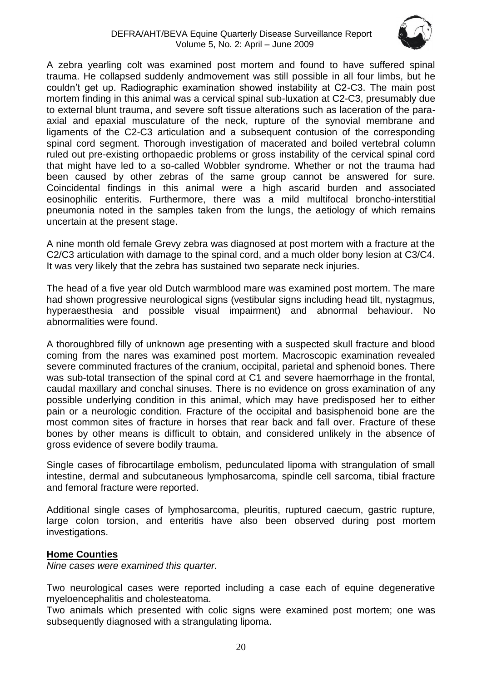

A zebra yearling colt was examined post mortem and found to have suffered spinal trauma. He collapsed suddenly andmovement was still possible in all four limbs, but he couldn't get up. Radiographic examination showed instability at C2-C3. The main post mortem finding in this animal was a cervical spinal sub-luxation at C2-C3, presumably due to external blunt trauma, and severe soft tissue alterations such as laceration of the paraaxial and epaxial musculature of the neck, rupture of the synovial membrane and ligaments of the C2-C3 articulation and a subsequent contusion of the corresponding spinal cord segment. Thorough investigation of macerated and boiled vertebral column ruled out pre-existing orthopaedic problems or gross instability of the cervical spinal cord that might have led to a so-called Wobbler syndrome. Whether or not the trauma had been caused by other zebras of the same group cannot be answered for sure. Coincidental findings in this animal were a high ascarid burden and associated eosinophilic enteritis. Furthermore, there was a mild multifocal broncho-interstitial pneumonia noted in the samples taken from the lungs, the aetiology of which remains uncertain at the present stage.

A nine month old female Grevy zebra was diagnosed at post mortem with a fracture at the C2/C3 articulation with damage to the spinal cord, and a much older bony lesion at C3/C4. It was very likely that the zebra has sustained two separate neck injuries.

The head of a five year old Dutch warmblood mare was examined post mortem. The mare had shown progressive neurological signs (vestibular signs including head tilt, nystagmus, hyperaesthesia and possible visual impairment) and abnormal behaviour. No abnormalities were found.

A thoroughbred filly of unknown age presenting with a suspected skull fracture and blood coming from the nares was examined post mortem. Macroscopic examination revealed severe comminuted fractures of the cranium, occipital, parietal and sphenoid bones. There was sub-total transection of the spinal cord at C1 and severe haemorrhage in the frontal, caudal maxillary and conchal sinuses. There is no evidence on gross examination of any possible underlying condition in this animal, which may have predisposed her to either pain or a neurologic condition. Fracture of the occipital and basisphenoid bone are the most common sites of fracture in horses that rear back and fall over. Fracture of these bones by other means is difficult to obtain, and considered unlikely in the absence of gross evidence of severe bodily trauma.

Single cases of fibrocartilage embolism, pedunculated lipoma with strangulation of small intestine, dermal and subcutaneous lymphosarcoma, spindle cell sarcoma, tibial fracture and femoral fracture were reported.

Additional single cases of lymphosarcoma, pleuritis, ruptured caecum, gastric rupture, large colon torsion, and enteritis have also been observed during post mortem investigations.

#### <span id="page-19-0"></span>**Home Counties**

*Nine cases were examined this quarter.*

Two neurological cases were reported including a case each of equine degenerative myeloencephalitis and cholesteatoma.

Two animals which presented with colic signs were examined post mortem; one was subsequently diagnosed with a strangulating lipoma.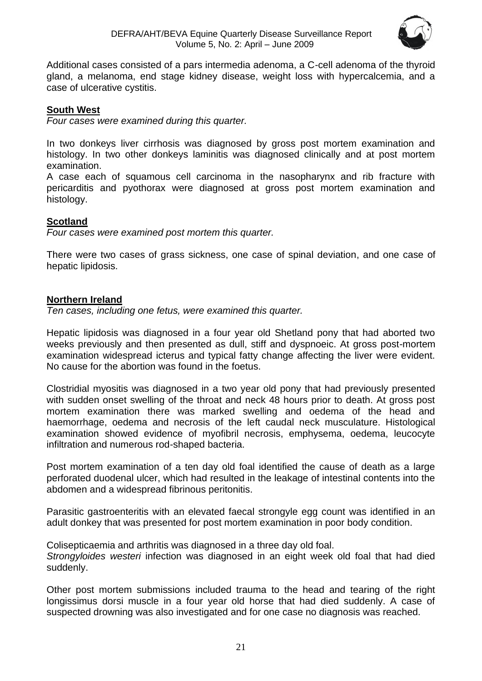

Additional cases consisted of a pars intermedia adenoma, a C-cell adenoma of the thyroid gland, a melanoma, end stage kidney disease, weight loss with hypercalcemia, and a case of ulcerative cystitis.

#### <span id="page-20-0"></span>**South West**

*Four cases were examined during this quarter.*

In two donkeys liver cirrhosis was diagnosed by gross post mortem examination and histology. In two other donkeys laminitis was diagnosed clinically and at post mortem examination.

A case each of squamous cell carcinoma in the nasopharynx and rib fracture with pericarditis and pyothorax were diagnosed at gross post mortem examination and histology.

#### <span id="page-20-1"></span>**Scotland**

*Four cases were examined post mortem this quarter.*

There were two cases of grass sickness, one case of spinal deviation, and one case of hepatic lipidosis.

#### <span id="page-20-2"></span>**Northern Ireland**

*Ten cases, including one fetus, were examined this quarter.*

Hepatic lipidosis was diagnosed in a four year old Shetland pony that had aborted two weeks previously and then presented as dull, stiff and dyspnoeic. At gross post-mortem examination widespread icterus and typical fatty change affecting the liver were evident. No cause for the abortion was found in the foetus.

Clostridial myositis was diagnosed in a two year old pony that had previously presented with sudden onset swelling of the throat and neck 48 hours prior to death. At gross post mortem examination there was marked swelling and oedema of the head and haemorrhage, oedema and necrosis of the left caudal neck musculature. Histological examination showed evidence of myofibril necrosis, emphysema, oedema, leucocyte infiltration and numerous rod-shaped bacteria.

Post mortem examination of a ten day old foal identified the cause of death as a large perforated duodenal ulcer, which had resulted in the leakage of intestinal contents into the abdomen and a widespread fibrinous peritonitis.

Parasitic gastroenteritis with an elevated faecal strongyle egg count was identified in an adult donkey that was presented for post mortem examination in poor body condition.

Colisepticaemia and arthritis was diagnosed in a three day old foal.

*Strongyloides westeri* infection was diagnosed in an eight week old foal that had died suddenly.

Other post mortem submissions included trauma to the head and tearing of the right longissimus dorsi muscle in a four year old horse that had died suddenly. A case of suspected drowning was also investigated and for one case no diagnosis was reached.